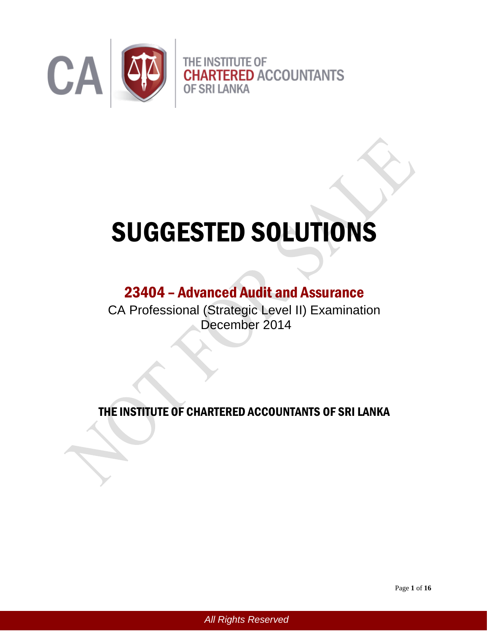

# SUGGESTED SOLUTIONS

# 23404 – Advanced Audit and Assurance

CA Professional (Strategic Level II) Examination December 2014

THE INSTITUTE OF CHARTERED ACCOUNTANTS OF SRI LANKA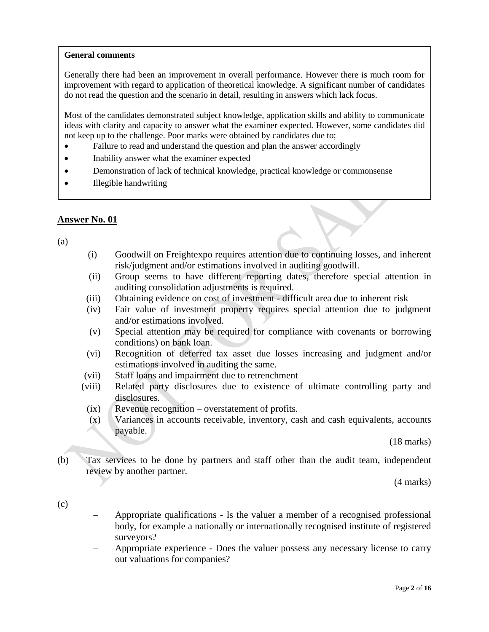#### **General comments**

Generally there had been an improvement in overall performance. However there is much room for improvement with regard to application of theoretical knowledge. A significant number of candidates do not read the question and the scenario in detail, resulting in answers which lack focus.

Most of the candidates demonstrated subject knowledge, application skills and ability to communicate ideas with clarity and capacity to answer what the examiner expected. However, some candidates did not keep up to the challenge. Poor marks were obtained by candidates due to;

- Failure to read and understand the question and plan the answer accordingly
- Inability answer what the examiner expected
- Demonstration of lack of technical knowledge, practical knowledge or commonsense
- Illegible handwriting

# **Answer No. 01**

(a)

- (i) Goodwill on Freightexpo requires attention due to continuing losses, and inherent risk/judgment and/or estimations involved in auditing goodwill.
- (ii) Group seems to have different reporting dates, therefore special attention in auditing consolidation adjustments is required.
- (iii) Obtaining evidence on cost of investment difficult area due to inherent risk
- (iv) Fair value of investment property requires special attention due to judgment and/or estimations involved.
- (v) Special attention may be required for compliance with covenants or borrowing conditions) on bank loan.
- (vi) Recognition of deferred tax asset due losses increasing and judgment and/or estimations involved in auditing the same.
- (vii) Staff loans and impairment due to retrenchment
- (viii) Related party disclosures due to existence of ultimate controlling party and disclosures.
- (ix) Revenue recognition overstatement of profits.
- (x) Variances in accounts receivable, inventory, cash and cash equivalents, accounts payable.

(18 marks)

(b) Tax services to be done by partners and staff other than the audit team, independent review by another partner.

(4 marks)

- (c)
- Appropriate qualifications Is the valuer a member of a recognised professional body, for example a nationally or internationally recognised institute of registered surveyors?
- Appropriate experience Does the valuer possess any necessary license to carry out valuations for companies?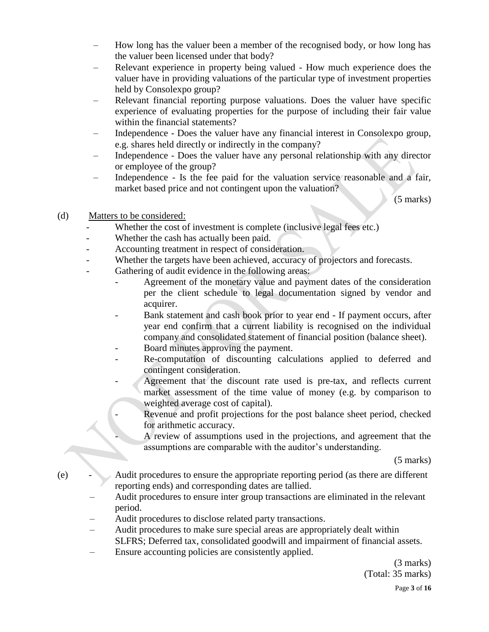- How long has the valuer been a member of the recognised body, or how long has the valuer been licensed under that body?
- Relevant experience in property being valued How much experience does the valuer have in providing valuations of the particular type of investment properties held by Consolexpo group?
- Relevant financial reporting purpose valuations. Does the valuer have specific experience of evaluating properties for the purpose of including their fair value within the financial statements?
- Independence Does the valuer have any financial interest in Consolexpo group, e.g. shares held directly or indirectly in the company?
- Independence Does the valuer have any personal relationship with any director or employee of the group?
- Independence Is the fee paid for the valuation service reasonable and a fair, market based price and not contingent upon the valuation?

(5 marks)

- (d) Matters to be considered:
	- Whether the cost of investment is complete (inclusive legal fees etc.)
	- Whether the cash has actually been paid.
	- Accounting treatment in respect of consideration.
	- Whether the targets have been achieved, accuracy of projectors and forecasts.
	- Gathering of audit evidence in the following areas:
		- Agreement of the monetary value and payment dates of the consideration per the client schedule to legal documentation signed by vendor and acquirer.
		- Bank statement and cash book prior to year end If payment occurs, after year end confirm that a current liability is recognised on the individual company and consolidated statement of financial position (balance sheet).
		- Board minutes approving the payment.
		- Re-computation of discounting calculations applied to deferred and contingent consideration.
		- Agreement that the discount rate used is pre-tax, and reflects current market assessment of the time value of money (e.g. by comparison to weighted average cost of capital).
			- Revenue and profit projections for the post balance sheet period, checked for arithmetic accuracy.
			- A review of assumptions used in the projections, and agreement that the assumptions are comparable with the auditor's understanding.

(5 marks)

- (e) Audit procedures to ensure the appropriate reporting period (as there are different reporting ends) and corresponding dates are tallied.
	- Audit procedures to ensure inter group transactions are eliminated in the relevant period.
	- Audit procedures to disclose related party transactions.
	- Audit procedures to make sure special areas are appropriately dealt within SLFRS; Deferred tax, consolidated goodwill and impairment of financial assets.
	- Ensure accounting policies are consistently applied.

(3 marks) (Total: 35 marks)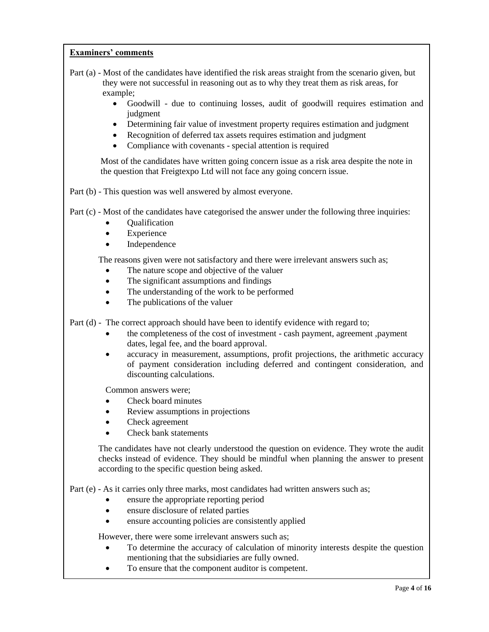- Part (a) Most of the candidates have identified the risk areas straight from the scenario given, but they were not successful in reasoning out as to why they treat them as risk areas, for example;
	- Goodwill due to continuing losses, audit of goodwill requires estimation and judgment
	- Determining fair value of investment property requires estimation and judgment
	- Recognition of deferred tax assets requires estimation and judgment
	- Compliance with covenants special attention is required

Most of the candidates have written going concern issue as a risk area despite the note in the question that Freigtexpo Ltd will not face any going concern issue.

Part (b) - This question was well answered by almost everyone.

Part (c) - Most of the candidates have categorised the answer under the following three inquiries:

- Qualification
- Experience
- Independence

The reasons given were not satisfactory and there were irrelevant answers such as;

- The nature scope and objective of the valuer
- The significant assumptions and findings
- The understanding of the work to be performed
- The publications of the valuer

Part (d) - The correct approach should have been to identify evidence with regard to;

- the completeness of the cost of investment cash payment, agreement ,payment dates, legal fee, and the board approval.
- accuracy in measurement, assumptions, profit projections, the arithmetic accuracy of payment consideration including deferred and contingent consideration, and discounting calculations.

Common answers were;

- Check board minutes
- Review assumptions in projections
- Check agreement
- Check bank statements

The candidates have not clearly understood the question on evidence. They wrote the audit checks instead of evidence. They should be mindful when planning the answer to present according to the specific question being asked.

Part (e) - As it carries only three marks, most candidates had written answers such as;

- ensure the appropriate reporting period
- ensure disclosure of related parties
- ensure accounting policies are consistently applied

However, there were some irrelevant answers such as;

- To determine the accuracy of calculation of minority interests despite the question mentioning that the subsidiaries are fully owned.
- To ensure that the component auditor is competent.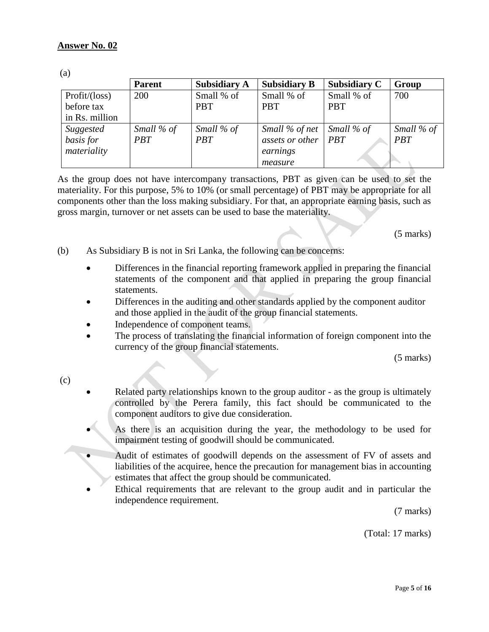$(a)$ 

| $\ddotsc$      |               |                     |                             |                     |            |
|----------------|---------------|---------------------|-----------------------------|---------------------|------------|
|                | <b>Parent</b> | <b>Subsidiary A</b> | <b>Subsidiary B</b>         | <b>Subsidiary C</b> | Group      |
| Profit/ (loss) | 200           | Small % of          | Small % of                  | Small % of          | 700        |
| before tax     |               | <b>PBT</b>          | <b>PBT</b>                  | <b>PBT</b>          |            |
| in Rs. million |               |                     |                             |                     |            |
| Suggested      | Small % of    | Small % of          | Small % of net   Small % of |                     | Small % of |
| basis for      | <i>PBT</i>    | <b>PBT</b>          | assets or other             | PBT                 | <b>PBT</b> |
| materiality    |               |                     | earnings                    |                     |            |
|                |               |                     | measure                     |                     |            |

As the group does not have intercompany transactions, PBT as given can be used to set the materiality. For this purpose, 5% to 10% (or small percentage) of PBT may be appropriate for all components other than the loss making subsidiary. For that, an appropriate earning basis, such as gross margin, turnover or net assets can be used to base the materiality.

(5 marks)

- (b) As Subsidiary B is not in Sri Lanka, the following can be concerns:
	- Differences in the financial reporting framework applied in preparing the financial statements of the component and that applied in preparing the group financial statements.
	- Differences in the auditing and other standards applied by the component auditor and those applied in the audit of the group financial statements.
	- Independence of component teams.
	- The process of translating the financial information of foreign component into the currency of the group financial statements.

(5 marks)

(c)

- Related party relationships known to the group auditor as the group is ultimately controlled by the Perera family, this fact should be communicated to the component auditors to give due consideration.
- As there is an acquisition during the year, the methodology to be used for impairment testing of goodwill should be communicated.
- Audit of estimates of goodwill depends on the assessment of FV of assets and liabilities of the acquiree, hence the precaution for management bias in accounting estimates that affect the group should be communicated.
- Ethical requirements that are relevant to the group audit and in particular the independence requirement.

(7 marks)

(Total: 17 marks)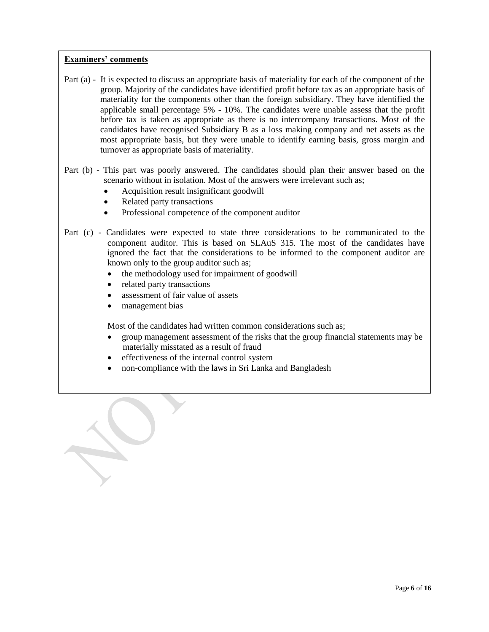- Part (a) It is expected to discuss an appropriate basis of materiality for each of the component of the group. Majority of the candidates have identified profit before tax as an appropriate basis of materiality for the components other than the foreign subsidiary. They have identified the applicable small percentage 5% - 10%. The candidates were unable assess that the profit before tax is taken as appropriate as there is no intercompany transactions. Most of the candidates have recognised Subsidiary B as a loss making company and net assets as the most appropriate basis, but they were unable to identify earning basis, gross margin and turnover as appropriate basis of materiality.
- Part (b) This part was poorly answered. The candidates should plan their answer based on the scenario without in isolation. Most of the answers were irrelevant such as;
	- Acquisition result insignificant goodwill
	- Related party transactions
	- Professional competence of the component auditor
- Part (c) Candidates were expected to state three considerations to be communicated to the component auditor. This is based on SLAuS 315. The most of the candidates have ignored the fact that the considerations to be informed to the component auditor are known only to the group auditor such as;
	- the methodology used for impairment of goodwill
	- related party transactions
	- assessment of fair value of assets
	- management bias

Most of the candidates had written common considerations such as;

- group management assessment of the risks that the group financial statements may be materially misstated as a result of fraud
- effectiveness of the internal control system
- non-compliance with the laws in Sri Lanka and Bangladesh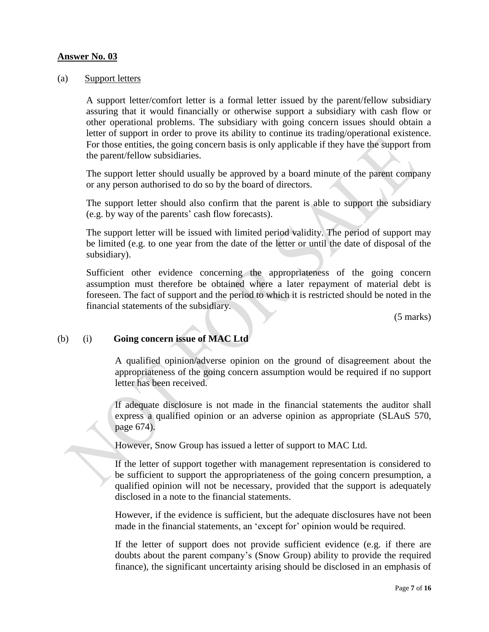#### **Answer No. 03**

#### (a) Support letters

A support letter/comfort letter is a formal letter issued by the parent/fellow subsidiary assuring that it would financially or otherwise support a subsidiary with cash flow or other operational problems. The subsidiary with going concern issues should obtain a letter of support in order to prove its ability to continue its trading/operational existence. For those entities, the going concern basis is only applicable if they have the support from the parent/fellow subsidiaries.

The support letter should usually be approved by a board minute of the parent company or any person authorised to do so by the board of directors.

The support letter should also confirm that the parent is able to support the subsidiary (e.g. by way of the parents' cash flow forecasts).

The support letter will be issued with limited period validity. The period of support may be limited (e.g. to one year from the date of the letter or until the date of disposal of the subsidiary).

Sufficient other evidence concerning the appropriateness of the going concern assumption must therefore be obtained where a later repayment of material debt is foreseen. The fact of support and the period to which it is restricted should be noted in the financial statements of the subsidiary.

(5 marks)

# (b) (i) **Going concern issue of MAC Ltd**

A qualified opinion/adverse opinion on the ground of disagreement about the appropriateness of the going concern assumption would be required if no support letter has been received.

If adequate disclosure is not made in the financial statements the auditor shall express a qualified opinion or an adverse opinion as appropriate (SLAuS 570, page 674).

However, Snow Group has issued a letter of support to MAC Ltd.

If the letter of support together with management representation is considered to be sufficient to support the appropriateness of the going concern presumption, a qualified opinion will not be necessary, provided that the support is adequately disclosed in a note to the financial statements.

However, if the evidence is sufficient, but the adequate disclosures have not been made in the financial statements, an 'except for' opinion would be required.

If the letter of support does not provide sufficient evidence (e.g. if there are doubts about the parent company's (Snow Group) ability to provide the required finance), the significant uncertainty arising should be disclosed in an emphasis of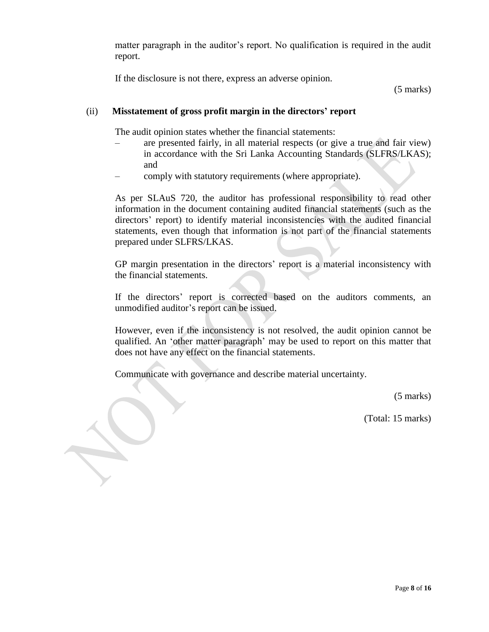matter paragraph in the auditor's report. No qualification is required in the audit report.

If the disclosure is not there, express an adverse opinion.

(5 marks)

# (ii) **Misstatement of gross profit margin in the directors' report**

The audit opinion states whether the financial statements:

- are presented fairly, in all material respects (or give a true and fair view) in accordance with the Sri Lanka Accounting Standards (SLFRS/LKAS); and
- comply with statutory requirements (where appropriate).

As per SLAuS 720, the auditor has professional responsibility to read other information in the document containing audited financial statements (such as the directors' report) to identify material inconsistencies with the audited financial statements, even though that information is not part of the financial statements prepared under SLFRS/LKAS.

GP margin presentation in the directors' report is a material inconsistency with the financial statements.

If the directors' report is corrected based on the auditors comments, an unmodified auditor's report can be issued.

However, even if the inconsistency is not resolved, the audit opinion cannot be qualified. An 'other matter paragraph' may be used to report on this matter that does not have any effect on the financial statements.

Communicate with governance and describe material uncertainty.

(5 marks)

(Total: 15 marks)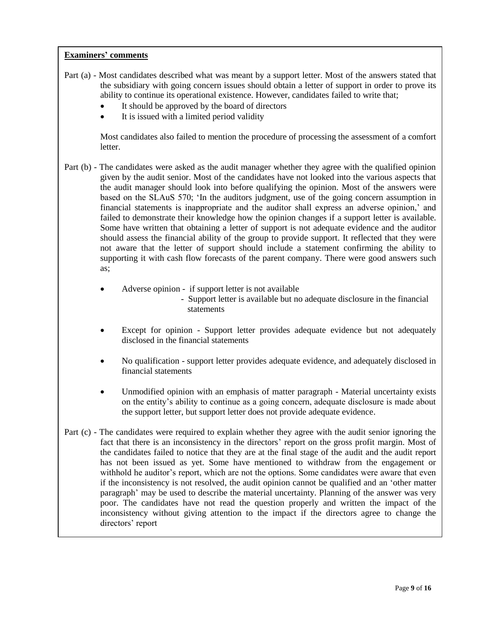- Part (a) Most candidates described what was meant by a support letter. Most of the answers stated that the subsidiary with going concern issues should obtain a letter of support in order to prove its ability to continue its operational existence. However, candidates failed to write that;
	- It should be approved by the board of directors
	- It is issued with a limited period validity

Most candidates also failed to mention the procedure of processing the assessment of a comfort letter.

- Part (b) The candidates were asked as the audit manager whether they agree with the qualified opinion given by the audit senior. Most of the candidates have not looked into the various aspects that the audit manager should look into before qualifying the opinion. Most of the answers were based on the SLAuS 570; 'In the auditors judgment, use of the going concern assumption in financial statements is inappropriate and the auditor shall express an adverse opinion,' and failed to demonstrate their knowledge how the opinion changes if a support letter is available. Some have written that obtaining a letter of support is not adequate evidence and the auditor should assess the financial ability of the group to provide support. It reflected that they were not aware that the letter of support should include a statement confirming the ability to supporting it with cash flow forecasts of the parent company. There were good answers such as;
	- Adverse opinion if support letter is not available - Support letter is available but no adequate disclosure in the financial statements
	- Except for opinion Support letter provides adequate evidence but not adequately disclosed in the financial statements
	- No qualification support letter provides adequate evidence, and adequately disclosed in financial statements
	- Unmodified opinion with an emphasis of matter paragraph Material uncertainty exists on the entity's ability to continue as a going concern, adequate disclosure is made about the support letter, but support letter does not provide adequate evidence.
- Part (c) The candidates were required to explain whether they agree with the audit senior ignoring the fact that there is an inconsistency in the directors' report on the gross profit margin. Most of the candidates failed to notice that they are at the final stage of the audit and the audit report has not been issued as yet. Some have mentioned to withdraw from the engagement or withhold he auditor's report, which are not the options. Some candidates were aware that even if the inconsistency is not resolved, the audit opinion cannot be qualified and an 'other matter paragraph' may be used to describe the material uncertainty. Planning of the answer was very poor. The candidates have not read the question properly and written the impact of the inconsistency without giving attention to the impact if the directors agree to change the directors' report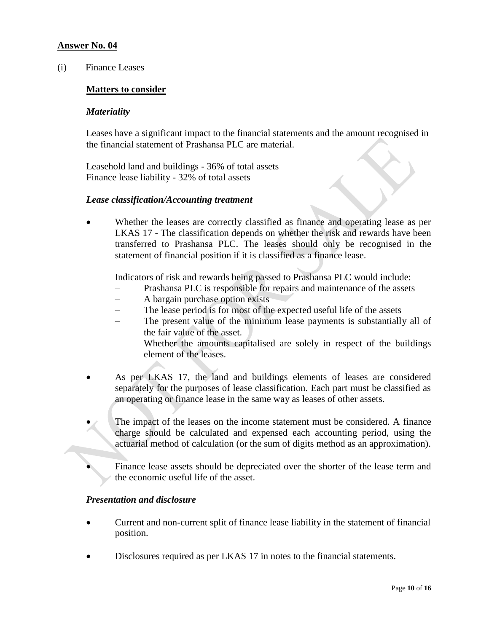# **Answer No. 04**

(i) Finance Leases

#### **Matters to consider**

#### *Materiality*

Leases have a significant impact to the financial statements and the amount recognised in the financial statement of Prashansa PLC are material.

Leasehold land and buildings - 36% of total assets Finance lease liability - 32% of total assets

#### *Lease classification/Accounting treatment*

 Whether the leases are correctly classified as finance and operating lease as per LKAS 17 - The classification depends on whether the risk and rewards have been transferred to Prashansa PLC. The leases should only be recognised in the statement of financial position if it is classified as a finance lease.

Indicators of risk and rewards being passed to Prashansa PLC would include:

- Prashansa PLC is responsible for repairs and maintenance of the assets
- A bargain purchase option exists
- The lease period is for most of the expected useful life of the assets
- The present value of the minimum lease payments is substantially all of the fair value of the asset.
- Whether the amounts capitalised are solely in respect of the buildings element of the leases.
- As per LKAS 17, the land and buildings elements of leases are considered separately for the purposes of lease classification. Each part must be classified as an operating or finance lease in the same way as leases of other assets.
- The impact of the leases on the income statement must be considered. A finance charge should be calculated and expensed each accounting period, using the actuarial method of calculation (or the sum of digits method as an approximation).
	- Finance lease assets should be depreciated over the shorter of the lease term and the economic useful life of the asset.

#### *Presentation and disclosure*

- Current and non-current split of finance lease liability in the statement of financial position.
- Disclosures required as per LKAS 17 in notes to the financial statements.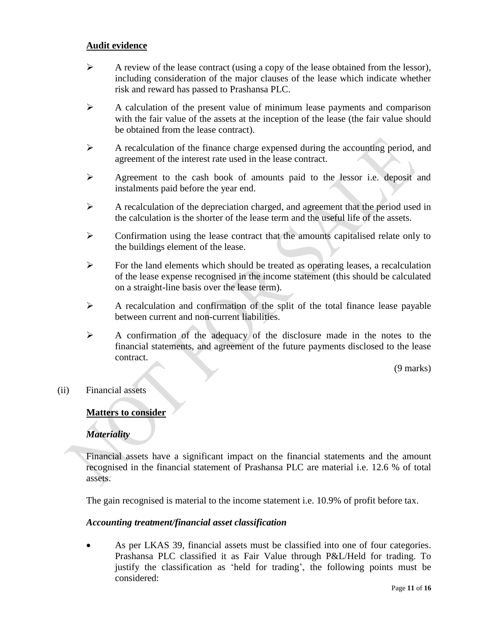# **Audit evidence**

- $\triangleright$  A review of the lease contract (using a copy of the lease obtained from the lessor), including consideration of the major clauses of the lease which indicate whether risk and reward has passed to Prashansa PLC.
- $\triangleright$  A calculation of the present value of minimum lease payments and comparison with the fair value of the assets at the inception of the lease (the fair value should be obtained from the lease contract).
- $\triangleright$  A recalculation of the finance charge expensed during the accounting period, and agreement of the interest rate used in the lease contract.
- Agreement to the cash book of amounts paid to the lessor i.e. deposit and instalments paid before the year end.
- $\triangleright$  A recalculation of the depreciation charged, and agreement that the period used in the calculation is the shorter of the lease term and the useful life of the assets.
- $\triangleright$  Confirmation using the lease contract that the amounts capitalised relate only to the buildings element of the lease.
- $\triangleright$  For the land elements which should be treated as operating leases, a recalculation of the lease expense recognised in the income statement (this should be calculated on a straight-line basis over the lease term).
- $\triangleright$  A recalculation and confirmation of the split of the total finance lease payable between current and non-current liabilities.
- A confirmation of the adequacy of the disclosure made in the notes to the financial statements, and agreement of the future payments disclosed to the lease contract.

(9 marks)

(ii) Financial assets

# **Matters to consider**

# *Materiality*

Financial assets have a significant impact on the financial statements and the amount recognised in the financial statement of Prashansa PLC are material i.e. 12.6 % of total assets.

The gain recognised is material to the income statement i.e. 10.9% of profit before tax.

#### *Accounting treatment/financial asset classification*

 As per LKAS 39, financial assets must be classified into one of four categories. Prashansa PLC classified it as Fair Value through P&L/Held for trading. To justify the classification as 'held for trading', the following points must be considered: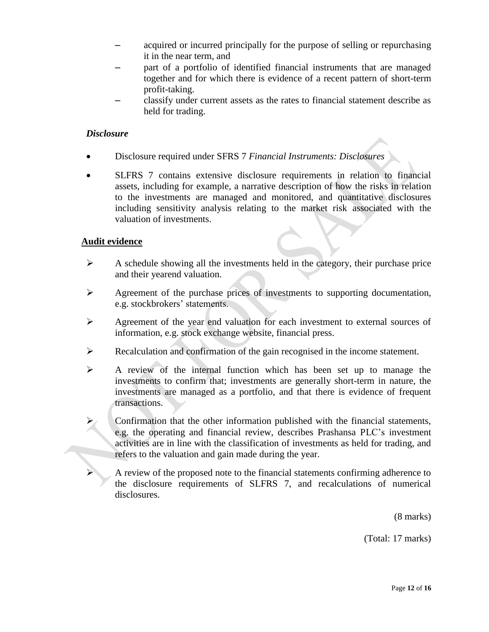- acquired or incurred principally for the purpose of selling or repurchasing it in the near term, and
- part of a portfolio of identified financial instruments that are managed together and for which there is evidence of a recent pattern of short-term profit-taking.
- classify under current assets as the rates to financial statement describe as held for trading.

# *Disclosure*

- Disclosure required under SFRS 7 *Financial Instruments: Disclosures*
- SLFRS 7 contains extensive disclosure requirements in relation to financial assets, including for example, a narrative description of how the risks in relation to the investments are managed and monitored, and quantitative disclosures including sensitivity analysis relating to the market risk associated with the valuation of investments.

# **Audit evidence**

- $\triangleright$  A schedule showing all the investments held in the category, their purchase price and their yearend valuation.
- $\triangleright$  Agreement of the purchase prices of investments to supporting documentation, e.g. stockbrokers' statements.
- Agreement of the year end valuation for each investment to external sources of information, e.g. stock exchange website, financial press.
- Recalculation and confirmation of the gain recognised in the income statement.
- $\triangleright$  A review of the internal function which has been set up to manage the investments to confirm that; investments are generally short-term in nature, the investments are managed as a portfolio, and that there is evidence of frequent transactions.

 Confirmation that the other information published with the financial statements, e.g. the operating and financial review, describes Prashansa PLC's investment activities are in line with the classification of investments as held for trading, and refers to the valuation and gain made during the year.

 A review of the proposed note to the financial statements confirming adherence to the disclosure requirements of SLFRS 7, and recalculations of numerical disclosures.

(8 marks)

(Total: 17 marks)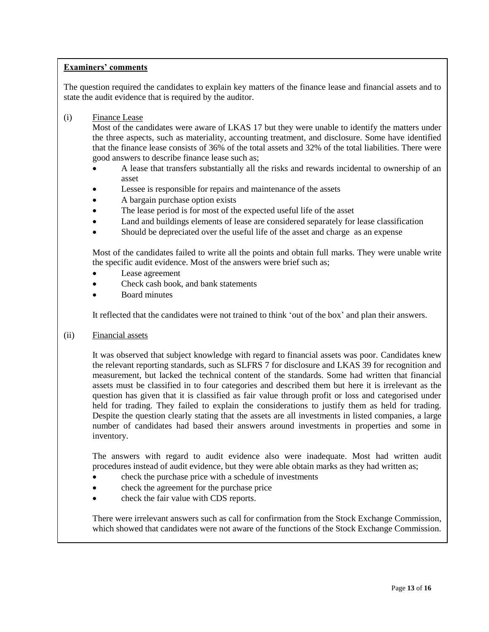The question required the candidates to explain key matters of the finance lease and financial assets and to state the audit evidence that is required by the auditor.

(i) Finance Lease

Most of the candidates were aware of LKAS 17 but they were unable to identify the matters under the three aspects, such as materiality, accounting treatment, and disclosure. Some have identified that the finance lease consists of 36% of the total assets and 32% of the total liabilities. There were good answers to describe finance lease such as;

- A lease that transfers substantially all the risks and rewards incidental to ownership of an asset
- Lessee is responsible for repairs and maintenance of the assets
- A bargain purchase option exists
- The lease period is for most of the expected useful life of the asset
- Land and buildings elements of lease are considered separately for lease classification
- Should be depreciated over the useful life of the asset and charge as an expense

Most of the candidates failed to write all the points and obtain full marks. They were unable write the specific audit evidence. Most of the answers were brief such as;

- Lease agreement
- Check cash book, and bank statements
- Board minutes

It reflected that the candidates were not trained to think 'out of the box' and plan their answers.

(ii) Financial assets

It was observed that subject knowledge with regard to financial assets was poor. Candidates knew the relevant reporting standards, such as SLFRS 7 for disclosure and LKAS 39 for recognition and measurement, but lacked the technical content of the standards. Some had written that financial assets must be classified in to four categories and described them but here it is irrelevant as the question has given that it is classified as fair value through profit or loss and categorised under held for trading. They failed to explain the considerations to justify them as held for trading. Despite the question clearly stating that the assets are all investments in listed companies, a large number of candidates had based their answers around investments in properties and some in inventory.

The answers with regard to audit evidence also were inadequate. Most had written audit procedures instead of audit evidence, but they were able obtain marks as they had written as;

- check the purchase price with a schedule of investments
- check the agreement for the purchase price
- check the fair value with CDS reports.

There were irrelevant answers such as call for confirmation from the Stock Exchange Commission, which showed that candidates were not aware of the functions of the Stock Exchange Commission.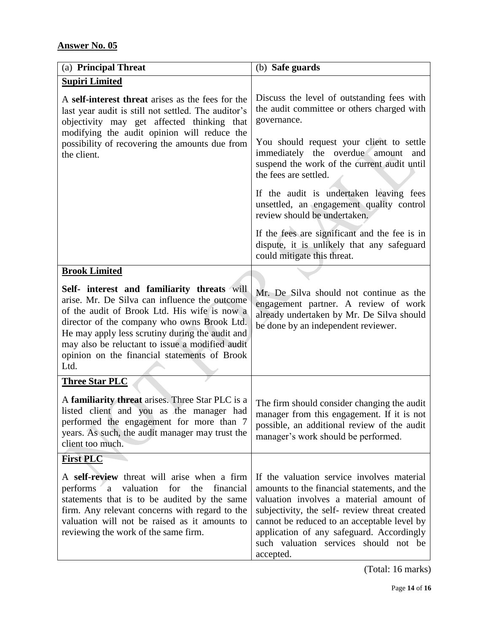| (a) Principal Threat                                                                                                                                                                                                                                                                                                                                      | (b) Safe guards                                                                                                                                                                                                                                                                                                                          |  |  |
|-----------------------------------------------------------------------------------------------------------------------------------------------------------------------------------------------------------------------------------------------------------------------------------------------------------------------------------------------------------|------------------------------------------------------------------------------------------------------------------------------------------------------------------------------------------------------------------------------------------------------------------------------------------------------------------------------------------|--|--|
| <b>Supiri Limited</b>                                                                                                                                                                                                                                                                                                                                     |                                                                                                                                                                                                                                                                                                                                          |  |  |
| A self-interest threat arises as the fees for the<br>last year audit is still not settled. The auditor's<br>objectivity may get affected thinking that<br>modifying the audit opinion will reduce the                                                                                                                                                     | Discuss the level of outstanding fees with<br>the audit committee or others charged with<br>governance.                                                                                                                                                                                                                                  |  |  |
| possibility of recovering the amounts due from<br>the client.                                                                                                                                                                                                                                                                                             | You should request your client to settle<br>immediately the overdue amount<br>and<br>suspend the work of the current audit until<br>the fees are settled.                                                                                                                                                                                |  |  |
|                                                                                                                                                                                                                                                                                                                                                           | If the audit is undertaken leaving fees<br>unsettled, an engagement quality control<br>review should be undertaken.                                                                                                                                                                                                                      |  |  |
|                                                                                                                                                                                                                                                                                                                                                           | If the fees are significant and the fee is in<br>dispute, it is unlikely that any safeguard<br>could mitigate this threat.                                                                                                                                                                                                               |  |  |
| <b>Brook Limited</b>                                                                                                                                                                                                                                                                                                                                      |                                                                                                                                                                                                                                                                                                                                          |  |  |
| Self- interest and familiarity threats will<br>arise. Mr. De Silva can influence the outcome<br>of the audit of Brook Ltd. His wife is now a<br>director of the company who owns Brook Ltd.<br>He may apply less scrutiny during the audit and<br>may also be reluctant to issue a modified audit<br>opinion on the financial statements of Brook<br>Ltd. | Mr. De Silva should not continue as the<br>engagement partner. A review of work<br>already undertaken by Mr. De Silva should<br>be done by an independent reviewer.                                                                                                                                                                      |  |  |
| <b>Three Star PLC</b>                                                                                                                                                                                                                                                                                                                                     |                                                                                                                                                                                                                                                                                                                                          |  |  |
| A familiarity threat arises. Three Star PLC is a<br>listed client and you as the manager had<br>performed the engagement for more than 7<br>years. As such, the audit manager may trust the<br>client too much.                                                                                                                                           | The firm should consider changing the audit<br>manager from this engagement. If it is not<br>possible, an additional review of the audit<br>manager's work should be performed.                                                                                                                                                          |  |  |
| <b>First PLC</b>                                                                                                                                                                                                                                                                                                                                          |                                                                                                                                                                                                                                                                                                                                          |  |  |
| A self-review threat will arise when a firm<br>valuation<br>performs<br>for<br>the<br>financial<br>a<br>statements that is to be audited by the same<br>firm. Any relevant concerns with regard to the<br>valuation will not be raised as it amounts to<br>reviewing the work of the same firm.                                                           | If the valuation service involves material<br>amounts to the financial statements, and the<br>valuation involves a material amount of<br>subjectivity, the self- review threat created<br>cannot be reduced to an acceptable level by<br>application of any safeguard. Accordingly<br>such valuation services should not be<br>accepted. |  |  |

(Total: 16 marks)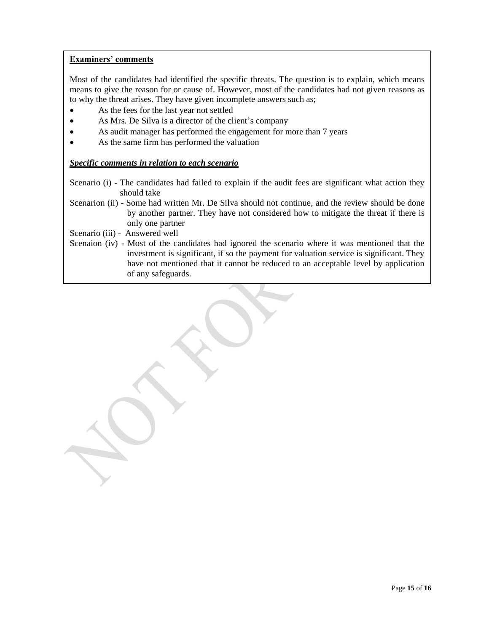Most of the candidates had identified the specific threats. The question is to explain, which means means to give the reason for or cause of. However, most of the candidates had not given reasons as to why the threat arises. They have given incomplete answers such as;

- As the fees for the last year not settled
- As Mrs. De Silva is a director of the client's company
- As audit manager has performed the engagement for more than 7 years
- As the same firm has performed the valuation

#### *Specific comments in relation to each scenario*

- Scenario (i) The candidates had failed to explain if the audit fees are significant what action they should take
- Scenarion (ii) Some had written Mr. De Silva should not continue, and the review should be done by another partner. They have not considered how to mitigate the threat if there is only one partner
- Scenario (iii) Answered well
- Scenaion (iv) Most of the candidates had ignored the scenario where it was mentioned that the investment is significant, if so the payment for valuation service is significant. They have not mentioned that it cannot be reduced to an acceptable level by application of any safeguards.